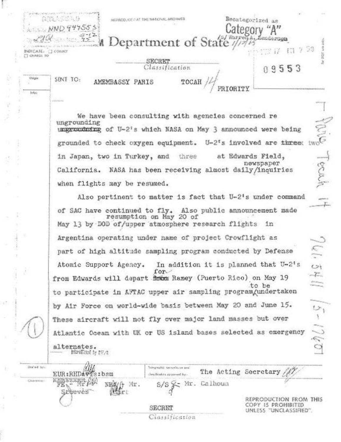|                                   | (国际人员经际)<br>NND945555                                                                                                |                                                           | Recategorized as<br>Category "A"             |  |
|-----------------------------------|----------------------------------------------------------------------------------------------------------------------|-----------------------------------------------------------|----------------------------------------------|--|
|                                   | $\frac{57}{2}$                                                                                                       | Department of State ///2/25                               |                                              |  |
| NOICAIL: CI COINCI<br>T CHARGE TO |                                                                                                                      |                                                           |                                              |  |
|                                   |                                                                                                                      | SECRET<br>Classification                                  |                                              |  |
|                                   |                                                                                                                      |                                                           | 09553                                        |  |
| Origin                            | SENT TO:<br>AMEMBASSY PARIS                                                                                          |                                                           |                                              |  |
| lefe)                             |                                                                                                                      |                                                           |                                              |  |
|                                   | List Prices                                                                                                          |                                                           |                                              |  |
|                                   |                                                                                                                      | We have been consulting with agencies concerned re        |                                              |  |
|                                   | ungrounding<br>unggroundming of U-2's which NASA on May 3 announced were being                                       |                                                           | mm?                                          |  |
|                                   |                                                                                                                      |                                                           |                                              |  |
|                                   | grounded to check oxygen equipment. U-2's involved are three:                                                        |                                                           |                                              |  |
|                                   | in Japan, two in Turkey, and three                                                                                   |                                                           | at Edwards Field,<br>newspaper               |  |
|                                   | California. NASA has been receiving almost daily/inquiries                                                           |                                                           |                                              |  |
|                                   | when flights may be resumed.                                                                                         |                                                           |                                              |  |
|                                   |                                                                                                                      | Also pertinent to matter is fact that U-2's under command |                                              |  |
|                                   |                                                                                                                      |                                                           |                                              |  |
|                                   | of SAC have continued to fly. Also public announcement made<br>May 13 by DOD of/upper atmosphere research flights in | resumption on May 20 of                                   |                                              |  |
|                                   | Argentina operating under name of project Crowflight as                                                              |                                                           |                                              |  |
|                                   | part of high altitude sampling program conducted by Defense                                                          |                                                           | Ú.                                           |  |
|                                   | Atomic Support Agency.                                                                                               | In addition it is planned that U-2's                      | $\leftrightarrow$                            |  |
|                                   | $for-$<br>from Edwards will depart from Ramey (Puerto Rico) on May 19                                                |                                                           |                                              |  |
|                                   |                                                                                                                      |                                                           | <b>Common</b><br>to be                       |  |
|                                   | to participate in AFTAC upper air sampling program/undertaken                                                        |                                                           |                                              |  |
|                                   | by Air Force on world-wide basis between May 20 and June 15.                                                         |                                                           |                                              |  |
|                                   | These aircraft will not fly over major land masses but over                                                          |                                                           | $5 - 1760$                                   |  |
|                                   | Atlantic Ocean with UK or US island bases selected as emergency                                                      |                                                           |                                              |  |
|                                   | alternates.                                                                                                          |                                                           |                                              |  |
|                                   | <b>Educations by NP/2</b>                                                                                            |                                                           |                                              |  |
| Drahed last                       |                                                                                                                      | Tolegrephic servers on end                                |                                              |  |
| Chicarmacers                      | EUR:RHDAVIS:bsm<br><b>AND READERS</b>                                                                                | (les:Titation approved by-                                | The Acting Secretary ///                     |  |
|                                   | NEW什 Mr.<br>Steeves                                                                                                  | Calhoun<br>MI.                                            |                                              |  |
|                                   |                                                                                                                      |                                                           | REPRODUCTION FROM THIS                       |  |
|                                   |                                                                                                                      | SECRET                                                    | COPY IS PROHIBITED<br>UNLESS "UNCLASSIFIED". |  |
|                                   |                                                                                                                      | Classification                                            |                                              |  |